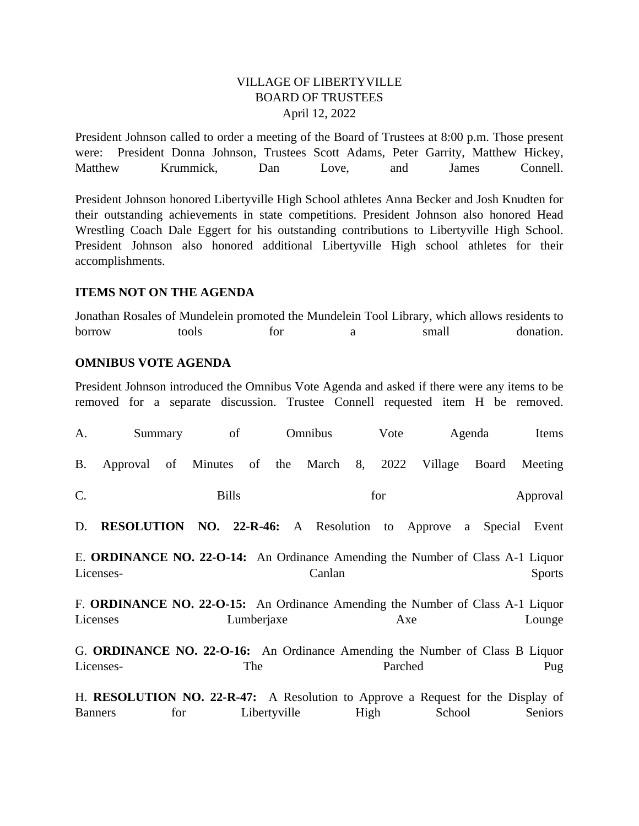### VILLAGE OF LIBERTYVILLE BOARD OF TRUSTEES April 12, 2022

President Johnson called to order a meeting of the Board of Trustees at 8:00 p.m. Those present were: President Donna Johnson, Trustees Scott Adams, Peter Garrity, Matthew Hickey, Matthew Krummick, Dan Love, and James Connell.

President Johnson honored Libertyville High School athletes Anna Becker and Josh Knudten for their outstanding achievements in state competitions. President Johnson also honored Head Wrestling Coach Dale Eggert for his outstanding contributions to Libertyville High School. President Johnson also honored additional Libertyville High school athletes for their accomplishments.

#### **ITEMS NOT ON THE AGENDA**

Jonathan Rosales of Mundelein promoted the Mundelein Tool Library, which allows residents to borrow tools for a small donation.

#### **OMNIBUS VOTE AGENDA**

President Johnson introduced the Omnibus Vote Agenda and asked if there were any items to be removed for a separate discussion. Trustee Connell requested item H be removed.

| A.             | Summary                                                                                     |     | of           |            |              | Omnibus   |      | Vote    |         | Agenda | Items         |
|----------------|---------------------------------------------------------------------------------------------|-----|--------------|------------|--------------|-----------|------|---------|---------|--------|---------------|
| <b>B.</b>      | Approval                                                                                    | of  | Minutes      | of         |              | the March | 8,   | 2022    | Village | Board  | Meeting       |
| $C$ .          |                                                                                             |     | <b>Bills</b> |            |              |           |      | for     |         |        | Approval      |
| D.             | <b>RESOLUTION NO. 22-R-46:</b> A Resolution to Approve                                      |     |              |            |              |           |      |         |         | a      | Special Event |
|                | E. ORDINANCE NO. 22-O-14: An Ordinance Amending the Number of Class A-1 Liquor<br>Licenses- |     |              |            |              | Canlan    |      |         |         |        | <b>Sports</b> |
| Licenses       | F. ORDINANCE NO. 22-O-15: An Ordinance Amending the Number of Class A-1 Liquor              |     |              | Lumberjaxe |              |           |      | Axe     |         |        | Lounge        |
|                | G. ORDINANCE NO. 22-O-16: An Ordinance Amending the Number of Class B Liquor<br>Licenses-   |     |              | The        |              |           |      | Parched |         |        | Pug           |
| <b>Banners</b> | H. RESOLUTION NO. 22-R-47: A Resolution to Approve a Request for the Display of             | for |              |            | Libertyville |           | High |         | School  |        | Seniors       |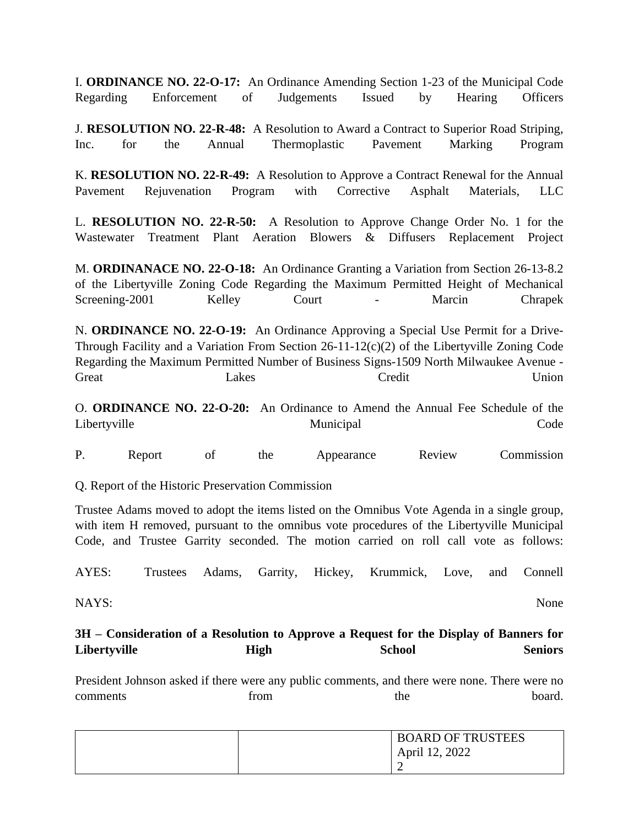I. **ORDINANCE NO. 22-O-17:** An Ordinance Amending Section 1-23 of the Municipal Code Regarding Enforcement of Judgements Issued by Hearing Officers

J. **RESOLUTION NO. 22-R-48:** A Resolution to Award a Contract to Superior Road Striping, Inc. for the Annual Thermoplastic Pavement Marking Program

K. **RESOLUTION NO. 22-R-49:** A Resolution to Approve a Contract Renewal for the Annual Pavement Rejuvenation Program with Corrective Asphalt Materials, LLC

L. **RESOLUTION NO. 22-R-50:** A Resolution to Approve Change Order No. 1 for the Wastewater Treatment Plant Aeration Blowers & Diffusers Replacement Project

M. **ORDINANACE NO. 22-O-18:** An Ordinance Granting a Variation from Section 26-13-8.2 of the Libertyville Zoning Code Regarding the Maximum Permitted Height of Mechanical Screening-2001 Kelley Court - Marcin Chrapek

N. **ORDINANCE NO. 22-O-19:** An Ordinance Approving a Special Use Permit for a Drive-Through Facility and a Variation From Section  $26-11-12(c)(2)$  of the Libertyville Zoning Code Regarding the Maximum Permitted Number of Business Signs-1509 North Milwaukee Avenue - Great Lakes Credit Union

O. **ORDINANCE NO. 22-O-20:** An Ordinance to Amend the Annual Fee Schedule of the Libertyville Municipal Code

P. Report of the Appearance Review Commission

Q. Report of the Historic Preservation Commission

Trustee Adams moved to adopt the items listed on the Omnibus Vote Agenda in a single group, with item H removed, pursuant to the omnibus vote procedures of the Libertyville Municipal Code, and Trustee Garrity seconded. The motion carried on roll call vote as follows:

AYES: Trustees Adams, Garrity, Hickey, Krummick, Love, and Connell

NAYS: None

## **3H – Consideration of a Resolution to Approve a Request for the Display of Banners for Libertyville High School Seniors**

President Johnson asked if there were any public comments, and there were none. There were no comments from the board.

| <b>BOARD OF TRUSTEES</b> |
|--------------------------|
| April 12, 2022           |
| ∼                        |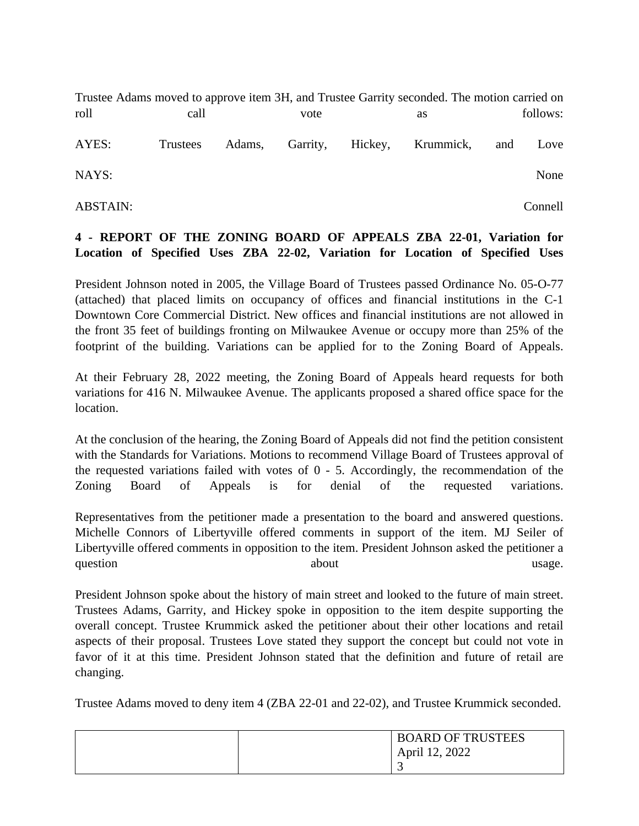Trustee Adams moved to approve item 3H, and Trustee Garrity seconded. The motion carried on roll call call vote as follows: AYES: Trustees Adams, Garrity, Hickey, Krummick, and Love NAYS: None

ABSTAIN: Connell

## **4 - REPORT OF THE ZONING BOARD OF APPEALS ZBA 22-01, Variation for Location of Specified Uses ZBA 22-02, Variation for Location of Specified Uses**

President Johnson noted in 2005, the Village Board of Trustees passed Ordinance No. 05-O-77 (attached) that placed limits on occupancy of offices and financial institutions in the C-1 Downtown Core Commercial District. New offices and financial institutions are not allowed in the front 35 feet of buildings fronting on Milwaukee Avenue or occupy more than 25% of the footprint of the building. Variations can be applied for to the Zoning Board of Appeals.

At their February 28, 2022 meeting, the Zoning Board of Appeals heard requests for both variations for 416 N. Milwaukee Avenue. The applicants proposed a shared office space for the location.

At the conclusion of the hearing, the Zoning Board of Appeals did not find the petition consistent with the Standards for Variations. Motions to recommend Village Board of Trustees approval of the requested variations failed with votes of 0 - 5. Accordingly, the recommendation of the Zoning Board of Appeals is for denial of the requested variations.

Representatives from the petitioner made a presentation to the board and answered questions. Michelle Connors of Libertyville offered comments in support of the item. MJ Seiler of Libertyville offered comments in opposition to the item. President Johnson asked the petitioner a question about about about usage.

President Johnson spoke about the history of main street and looked to the future of main street. Trustees Adams, Garrity, and Hickey spoke in opposition to the item despite supporting the overall concept. Trustee Krummick asked the petitioner about their other locations and retail aspects of their proposal. Trustees Love stated they support the concept but could not vote in favor of it at this time. President Johnson stated that the definition and future of retail are changing.

Trustee Adams moved to deny item 4 (ZBA 22-01 and 22-02), and Trustee Krummick seconded.

| <b>BOARD OF TRUSTEES</b> |
|--------------------------|
| April 12, 2022           |
| ັ                        |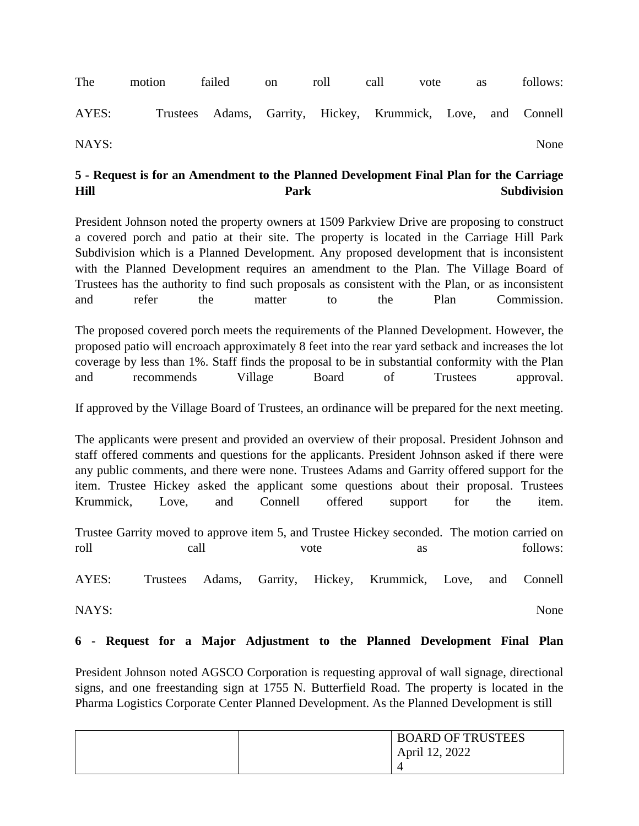The motion failed on roll call vote as follows: AYES: Trustees Adams, Garrity, Hickey, Krummick, Love, and Connell NAYS: None

## **5 - Request is for an Amendment to the Planned Development Final Plan for the Carriage Hill Park Subdivision**

President Johnson noted the property owners at 1509 Parkview Drive are proposing to construct a covered porch and patio at their site. The property is located in the Carriage Hill Park Subdivision which is a Planned Development. Any proposed development that is inconsistent with the Planned Development requires an amendment to the Plan. The Village Board of Trustees has the authority to find such proposals as consistent with the Plan, or as inconsistent and refer the matter to the Plan Commission.

The proposed covered porch meets the requirements of the Planned Development. However, the proposed patio will encroach approximately 8 feet into the rear yard setback and increases the lot coverage by less than 1%. Staff finds the proposal to be in substantial conformity with the Plan and recommends Village Board of Trustees approval.

If approved by the Village Board of Trustees, an ordinance will be prepared for the next meeting.

The applicants were present and provided an overview of their proposal. President Johnson and staff offered comments and questions for the applicants. President Johnson asked if there were any public comments, and there were none. Trustees Adams and Garrity offered support for the item. Trustee Hickey asked the applicant some questions about their proposal. Trustees Krummick, Love, and Connell offered support for the item.

Trustee Garrity moved to approve item 5, and Trustee Hickey seconded. The motion carried on roll call call vote as follows:

AYES: Trustees Adams, Garrity, Hickey, Krummick, Love, and Connell

NAYS: None

#### **6 - Request for a Major Adjustment to the Planned Development Final Plan**

President Johnson noted AGSCO Corporation is requesting approval of wall signage, directional signs, and one freestanding sign at 1755 N. Butterfield Road. The property is located in the Pharma Logistics Corporate Center Planned Development. As the Planned Development is still

| <b>BOARD OF TRUSTEES</b> |
|--------------------------|
| April 12, 2022           |
|                          |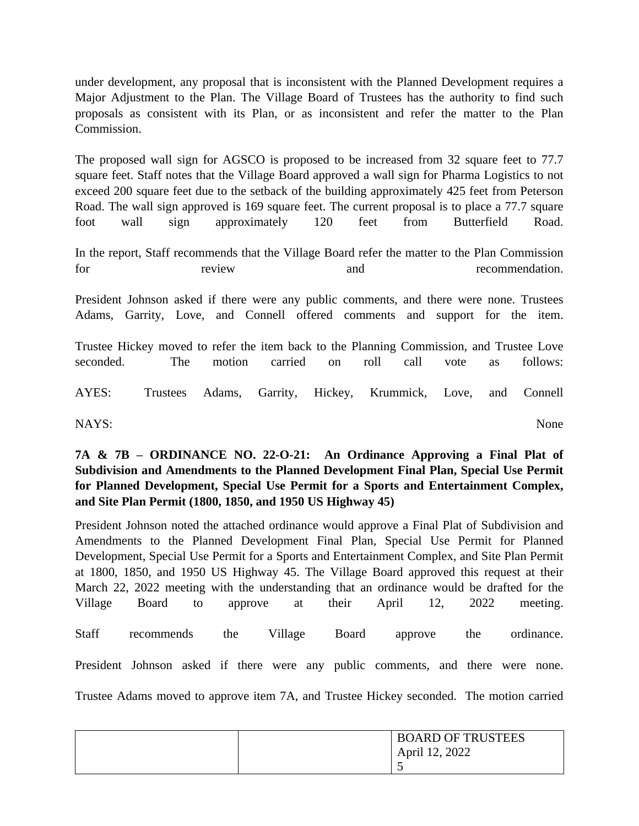under development, any proposal that is inconsistent with the Planned Development requires a Major Adjustment to the Plan. The Village Board of Trustees has the authority to find such proposals as consistent with its Plan, or as inconsistent and refer the matter to the Plan Commission.

The proposed wall sign for AGSCO is proposed to be increased from 32 square feet to 77.7 square feet. Staff notes that the Village Board approved a wall sign for Pharma Logistics to not exceed 200 square feet due to the setback of the building approximately 425 feet from Peterson Road. The wall sign approved is 169 square feet. The current proposal is to place a 77.7 square foot wall sign approximately 120 feet from Butterfield Road.

In the report, Staff recommends that the Village Board refer the matter to the Plan Commission for review and recommendation.

President Johnson asked if there were any public comments, and there were none. Trustees Adams, Garrity, Love, and Connell offered comments and support for the item.

Trustee Hickey moved to refer the item back to the Planning Commission, and Trustee Love seconded. The motion carried on roll call vote as follows:

AYES: Trustees Adams, Garrity, Hickey, Krummick, Love, and Connell

NAYS: None

**7A & 7B – ORDINANCE NO. 22-O-21: An Ordinance Approving a Final Plat of Subdivision and Amendments to the Planned Development Final Plan, Special Use Permit for Planned Development, Special Use Permit for a Sports and Entertainment Complex, and Site Plan Permit (1800, 1850, and 1950 US Highway 45)** 

President Johnson noted the attached ordinance would approve a Final Plat of Subdivision and Amendments to the Planned Development Final Plan, Special Use Permit for Planned Development, Special Use Permit for a Sports and Entertainment Complex, and Site Plan Permit at 1800, 1850, and 1950 US Highway 45. The Village Board approved this request at their March 22, 2022 meeting with the understanding that an ordinance would be drafted for the Village Board to approve at their April 12, 2022 meeting. Staff recommends the Village Board approve the ordinance. President Johnson asked if there were any public comments, and there were none. Trustee Adams moved to approve item 7A, and Trustee Hickey seconded. The motion carried

| <b>BOARD OF TRUSTEES</b> |
|--------------------------|
| April 12, 2022           |
|                          |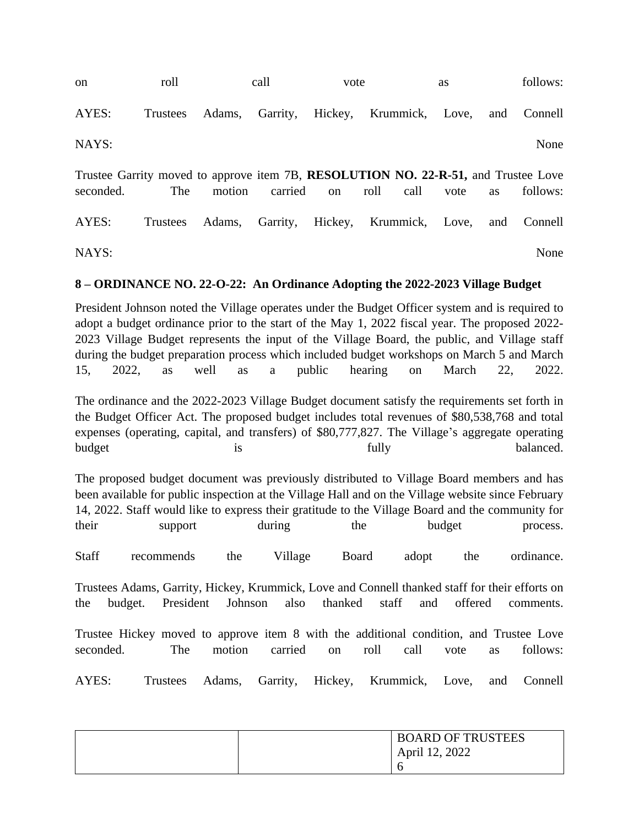| <sub>on</sub>                                                                                   | roll     |                 | call    | vote                    |      |      | <b>as</b> |           | follows: |
|-------------------------------------------------------------------------------------------------|----------|-----------------|---------|-------------------------|------|------|-----------|-----------|----------|
| AYES:                                                                                           | Trustees | Adams, Garrity, |         | Hickey, Krummick, Love, |      |      |           | and       | Connell  |
| NAYS:                                                                                           |          |                 |         |                         |      |      |           |           | None     |
| Trustee Garrity moved to approve item 7B, RESOLUTION NO. 22-R-51, and Trustee Love<br>seconded. | The      | motion          | carried | on                      | roll | call | vote      | <b>as</b> | follows: |
| AYES:                                                                                           | Trustees | Adams, Garrity, |         | Hickey, Krummick, Love, |      |      |           | and       | Connell  |
| NAYS:                                                                                           |          |                 |         |                         |      |      |           |           | None     |

#### **8 – ORDINANCE NO. 22-O-22: An Ordinance Adopting the 2022-2023 Village Budget**

President Johnson noted the Village operates under the Budget Officer system and is required to adopt a budget ordinance prior to the start of the May 1, 2022 fiscal year. The proposed 2022- 2023 Village Budget represents the input of the Village Board, the public, and Village staff during the budget preparation process which included budget workshops on March 5 and March 15, 2022, as well as a public hearing on March 22, 2022.

The ordinance and the 2022-2023 Village Budget document satisfy the requirements set forth in the Budget Officer Act. The proposed budget includes total revenues of \$80,538,768 and total expenses (operating, capital, and transfers) of \$80,777,827. The Village's aggregate operating budget is is tully tully balanced.

The proposed budget document was previously distributed to Village Board members and has been available for public inspection at the Village Hall and on the Village website since February 14, 2022. Staff would like to express their gratitude to the Village Board and the community for their support during the budget process.

Staff recommends the Village Board adopt the ordinance.

Trustees Adams, Garrity, Hickey, Krummick, Love and Connell thanked staff for their efforts on the budget. President Johnson also thanked staff and offered comments.

Trustee Hickey moved to approve item 8 with the additional condition, and Trustee Love seconded. The motion carried on roll call vote as follows:

AYES: Trustees Adams, Garrity, Hickey, Krummick, Love, and Connell

| <b>BOARD OF TRUSTEES</b> |
|--------------------------|
| April 12, 2022           |
|                          |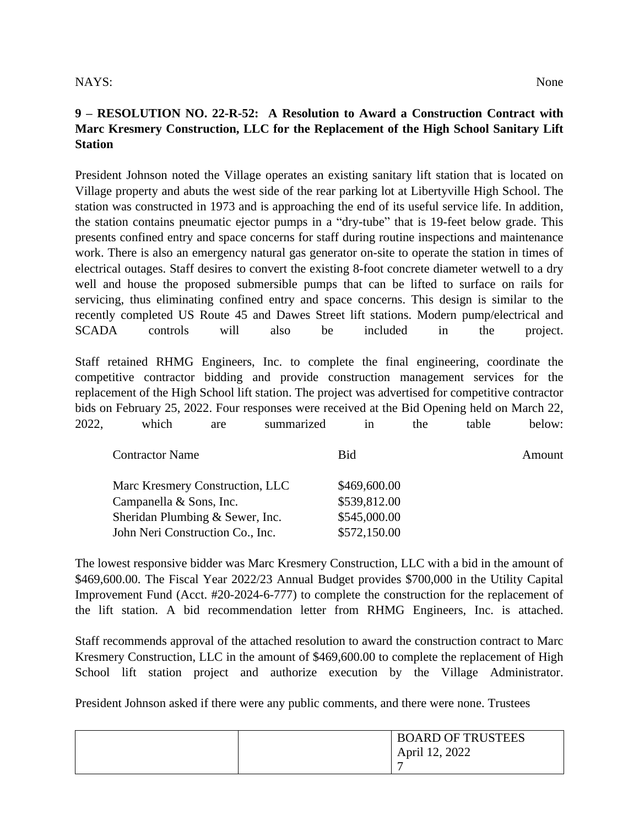### NAYS: None

## **9 – RESOLUTION NO. 22-R-52: A Resolution to Award a Construction Contract with Marc Kresmery Construction, LLC for the Replacement of the High School Sanitary Lift Station**

President Johnson noted the Village operates an existing sanitary lift station that is located on Village property and abuts the west side of the rear parking lot at Libertyville High School. The station was constructed in 1973 and is approaching the end of its useful service life. In addition, the station contains pneumatic ejector pumps in a "dry-tube" that is 19-feet below grade. This presents confined entry and space concerns for staff during routine inspections and maintenance work. There is also an emergency natural gas generator on-site to operate the station in times of electrical outages. Staff desires to convert the existing 8-foot concrete diameter wetwell to a dry well and house the proposed submersible pumps that can be lifted to surface on rails for servicing, thus eliminating confined entry and space concerns. This design is similar to the recently completed US Route 45 and Dawes Street lift stations. Modern pump/electrical and SCADA controls will also be included in the project.

Staff retained RHMG Engineers, Inc. to complete the final engineering, coordinate the competitive contractor bidding and provide construction management services for the replacement of the High School lift station. The project was advertised for competitive contractor bids on February 25, 2022. Four responses were received at the Bid Opening held on March 22, 2022, which are summarized in the table below:

| <b>Contractor Name</b>           | <b>Bid</b>   | Amount |
|----------------------------------|--------------|--------|
| Marc Kresmery Construction, LLC  | \$469,600.00 |        |
| Campanella & Sons, Inc.          | \$539,812.00 |        |
| Sheridan Plumbing & Sewer, Inc.  | \$545,000.00 |        |
| John Neri Construction Co., Inc. | \$572,150.00 |        |

The lowest responsive bidder was Marc Kresmery Construction, LLC with a bid in the amount of \$469,600.00. The Fiscal Year 2022/23 Annual Budget provides \$700,000 in the Utility Capital Improvement Fund (Acct. #20-2024-6-777) to complete the construction for the replacement of the lift station. A bid recommendation letter from RHMG Engineers, Inc. is attached.

Staff recommends approval of the attached resolution to award the construction contract to Marc Kresmery Construction, LLC in the amount of \$469,600.00 to complete the replacement of High School lift station project and authorize execution by the Village Administrator.

President Johnson asked if there were any public comments, and there were none. Trustees

| <b>BOARD OF TRUSTEES</b> |
|--------------------------|
| April 12, 2022           |
| -                        |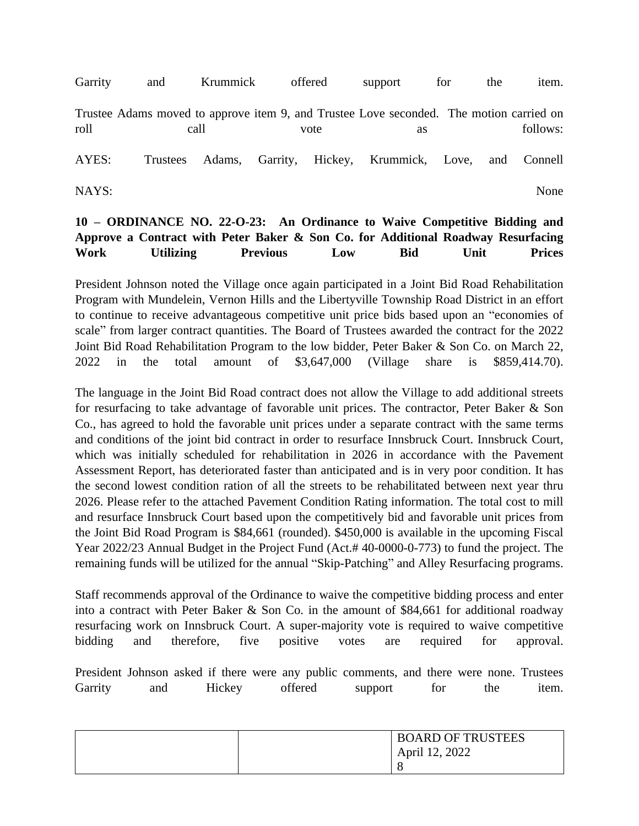Garrity and Krummick offered support for the item. Trustee Adams moved to approve item 9, and Trustee Love seconded. The motion carried on roll call call vote as follows: AYES: Trustees Adams, Garrity, Hickey, Krummick, Love, and Connell NAYS: None

## **10 – ORDINANCE NO. 22-O-23: An Ordinance to Waive Competitive Bidding and Approve a Contract with Peter Baker & Son Co. for Additional Roadway Resurfacing Work Utilizing Previous Low Bid Unit Prices**

President Johnson noted the Village once again participated in a Joint Bid Road Rehabilitation Program with Mundelein, Vernon Hills and the Libertyville Township Road District in an effort to continue to receive advantageous competitive unit price bids based upon an "economies of scale" from larger contract quantities. The Board of Trustees awarded the contract for the 2022 Joint Bid Road Rehabilitation Program to the low bidder, Peter Baker & Son Co. on March 22, 2022 in the total amount of \$3,647,000 (Village share is \$859,414.70).

The language in the Joint Bid Road contract does not allow the Village to add additional streets for resurfacing to take advantage of favorable unit prices. The contractor, Peter Baker & Son Co., has agreed to hold the favorable unit prices under a separate contract with the same terms and conditions of the joint bid contract in order to resurface Innsbruck Court. Innsbruck Court, which was initially scheduled for rehabilitation in 2026 in accordance with the Pavement Assessment Report, has deteriorated faster than anticipated and is in very poor condition. It has the second lowest condition ration of all the streets to be rehabilitated between next year thru 2026. Please refer to the attached Pavement Condition Rating information. The total cost to mill and resurface Innsbruck Court based upon the competitively bid and favorable unit prices from the Joint Bid Road Program is \$84,661 (rounded). \$450,000 is available in the upcoming Fiscal Year 2022/23 Annual Budget in the Project Fund (Act.# 40-0000-0-773) to fund the project. The remaining funds will be utilized for the annual "Skip-Patching" and Alley Resurfacing programs.

Staff recommends approval of the Ordinance to waive the competitive bidding process and enter into a contract with Peter Baker & Son Co. in the amount of \$84,661 for additional roadway resurfacing work on Innsbruck Court. A super-majority vote is required to waive competitive bidding and therefore, five positive votes are required for approval.

President Johnson asked if there were any public comments, and there were none. Trustees Garrity and Hickey offered support for the item.

| <b>BOARD OF TRUSTEES</b> |
|--------------------------|
| April 12, 2022           |
|                          |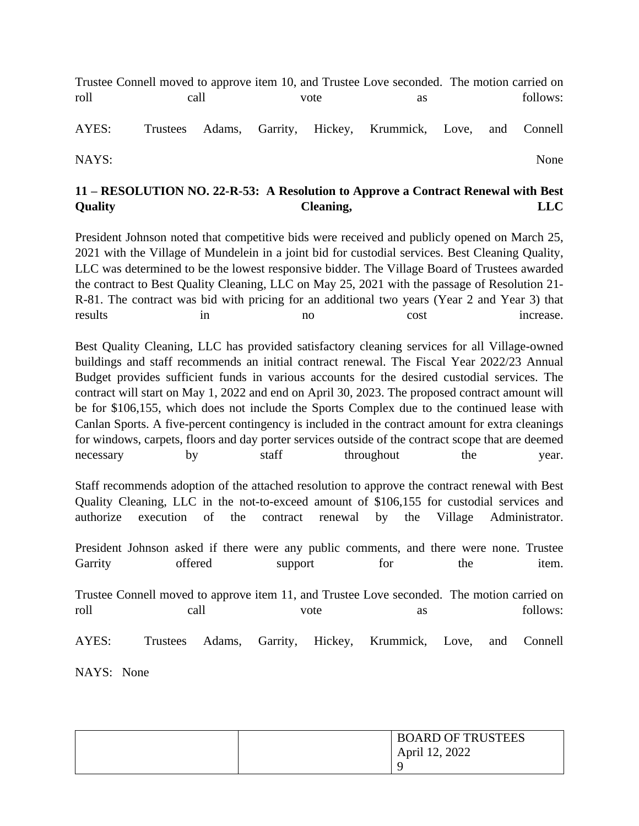Trustee Connell moved to approve item 10, and Trustee Love seconded. The motion carried on roll call call vote as follows: AYES: Trustees Adams, Garrity, Hickey, Krummick, Love, and Connell

NAYS: None

# **11 – RESOLUTION NO. 22-R-53: A Resolution to Approve a Contract Renewal with Best Quality Cleaning, LLC**

President Johnson noted that competitive bids were received and publicly opened on March 25, 2021 with the Village of Mundelein in a joint bid for custodial services. Best Cleaning Quality, LLC was determined to be the lowest responsive bidder. The Village Board of Trustees awarded the contract to Best Quality Cleaning, LLC on May 25, 2021 with the passage of Resolution 21- R-81. The contract was bid with pricing for an additional two years (Year 2 and Year 3) that results in in no cost increase.

Best Quality Cleaning, LLC has provided satisfactory cleaning services for all Village-owned buildings and staff recommends an initial contract renewal. The Fiscal Year 2022/23 Annual Budget provides sufficient funds in various accounts for the desired custodial services. The contract will start on May 1, 2022 and end on April 30, 2023. The proposed contract amount will be for \$106,155, which does not include the Sports Complex due to the continued lease with Canlan Sports. A five-percent contingency is included in the contract amount for extra cleanings for windows, carpets, floors and day porter services outside of the contract scope that are deemed necessary by staff throughout the year.

Staff recommends adoption of the attached resolution to approve the contract renewal with Best Quality Cleaning, LLC in the not-to-exceed amount of \$106,155 for custodial services and authorize execution of the contract renewal by the Village Administrator.

President Johnson asked if there were any public comments, and there were none. Trustee Garrity offered support for the item. Trustee Connell moved to approve item 11, and Trustee Love seconded. The motion carried on roll call call vote as follows: AYES: Trustees Adams, Garrity, Hickey, Krummick, Love, and Connell NAYS: None

| <b>BOARD OF TRUSTEES</b> |
|--------------------------|
| April 12, 2022           |
|                          |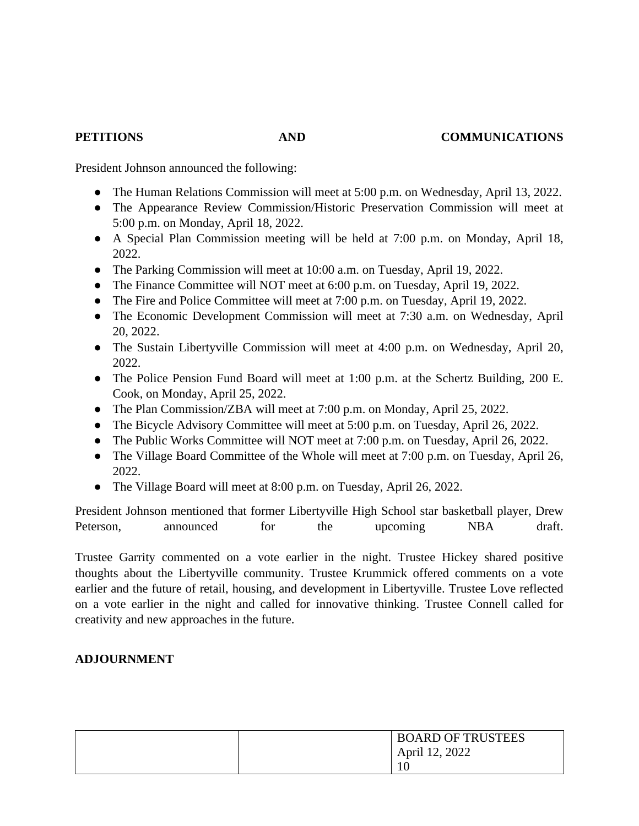President Johnson announced the following:

- The Human Relations Commission will meet at 5:00 p.m. on Wednesday, April 13, 2022.
- The Appearance Review Commission/Historic Preservation Commission will meet at 5:00 p.m. on Monday, April 18, 2022.
- A Special Plan Commission meeting will be held at 7:00 p.m. on Monday, April 18, 2022.
- The Parking Commission will meet at 10:00 a.m. on Tuesday, April 19, 2022.
- The Finance Committee will NOT meet at 6:00 p.m. on Tuesday, April 19, 2022.
- The Fire and Police Committee will meet at 7:00 p.m. on Tuesday, April 19, 2022.
- The Economic Development Commission will meet at 7:30 a.m. on Wednesday, April 20, 2022.
- The Sustain Libertyville Commission will meet at 4:00 p.m. on Wednesday, April 20, 2022.
- The Police Pension Fund Board will meet at 1:00 p.m. at the Schertz Building, 200 E. Cook, on Monday, April 25, 2022.
- The Plan Commission/ZBA will meet at 7:00 p.m. on Monday, April 25, 2022.
- The Bicycle Advisory Committee will meet at 5:00 p.m. on Tuesday, April 26, 2022.
- The Public Works Committee will NOT meet at 7:00 p.m. on Tuesday, April 26, 2022.
- The Village Board Committee of the Whole will meet at 7:00 p.m. on Tuesday, April 26, 2022.
- The Village Board will meet at 8:00 p.m. on Tuesday, April 26, 2022.

President Johnson mentioned that former Libertyville High School star basketball player, Drew Peterson, announced for the upcoming NBA draft.

Trustee Garrity commented on a vote earlier in the night. Trustee Hickey shared positive thoughts about the Libertyville community. Trustee Krummick offered comments on a vote earlier and the future of retail, housing, and development in Libertyville. Trustee Love reflected on a vote earlier in the night and called for innovative thinking. Trustee Connell called for creativity and new approaches in the future.

### **ADJOURNMENT**

| <b>BOARD OF TRUSTEES</b> |
|--------------------------|
| April 12, 2022           |
| 10                       |